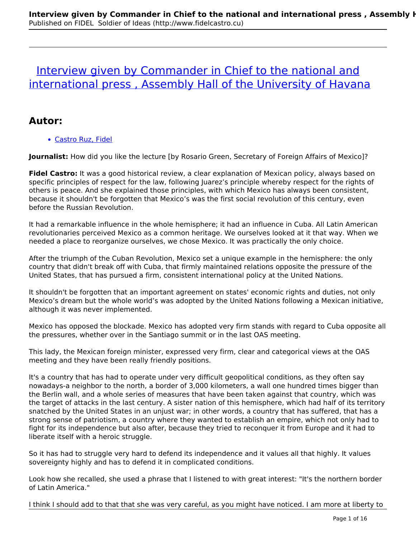# [Interview given by Commander in Chief to the national and](http://www.fidelcastro.cu/en/entrevistas/interview-given-commander-chief-national-and-international-press-assembly-hall) international press, Assembly Hall of the University of Havana

### **Autor:**

Castro Ruz, Fidel

**Journalist:** How did you like the lecture [by Rosario Green, Secretary of Foreign Affairs of Mexico]?

**Fidel Castro:** It was a good historical review, a clear explanation of Mexican policy, always based on specific principles of respect for the law, following Juarez's principle whereby respect for the rights of others is peace. And she explained those principles, with which Mexico has always been consistent, because it shouldn't be forgotten that Mexico's was the first social revolution of this century, even before the Russian Revolution.

It had a remarkable influence in the whole hemisphere; it had an influence in Cuba. All Latin American revolutionaries perceived Mexico as a common heritage. We ourselves looked at it that way. When we needed a place to reorganize ourselves, we chose Mexico. It was practically the only choice.

After the triumph of the Cuban Revolution, Mexico set a unique example in the hemisphere: the only country that didn't break off with Cuba, that firmly maintained relations opposite the pressure of the United States, that has pursued a firm, consistent international policy at the United Nations.

It shouldn't be forgotten that an important agreement on states' economic rights and duties, not only Mexico's dream but the whole world's was adopted by the United Nations following a Mexican initiative, although it was never implemented.

Mexico has opposed the blockade. Mexico has adopted very firm stands with regard to Cuba opposite all the pressures, whether over in the Santiago summit or in the last OAS meeting.

This lady, the Mexican foreign minister, expressed very firm, clear and categorical views at the OAS meeting and they have been really friendly positions.

It's a country that has had to operate under very difficult geopolitical conditions, as they often say nowadays-a neighbor to the north, a border of 3,000 kilometers, a wall one hundred times bigger than the Berlin wall, and a whole series of measures that have been taken against that country, which was the target of attacks in the last century. A sister nation of this hemisphere, which had half of its territory snatched by the United States in an unjust war; in other words, a country that has suffered, that has a strong sense of patriotism, a country where they wanted to establish an empire, which not only had to fight for its independence but also after, because they tried to reconquer it from Europe and it had to liberate itself with a heroic struggle.

So it has had to struggle very hard to defend its independence and it values all that highly. It values sovereignty highly and has to defend it in complicated conditions.

Look how she recalled, she used a phrase that I listened to with great interest: "It's the northern border of Latin America."

I think I should add to that that she was very careful, as you might have noticed. I am more at liberty to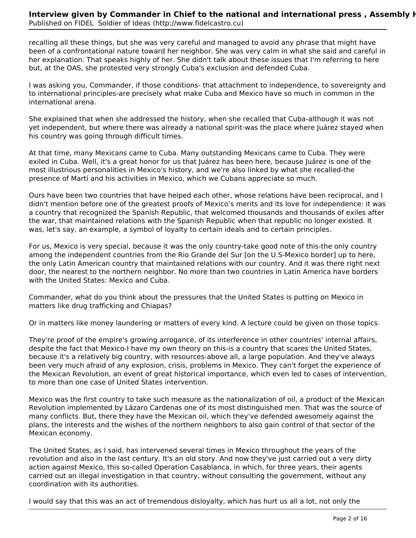recalling all these things, but she was very careful and managed to avoid any phrase that might have been of a confrontational nature toward her neighbor. She was very calm in what she said and careful in her explanation. That speaks highly of her. She didn't talk about these issues that I'm referring to here but, at the OAS, she protested very strongly Cuba's exclusion and defended Cuba.

I was asking you, Commander, if those conditions- that attachment to independence, to sovereignty and to international principles-are precisely what make Cuba and Mexico have so much in common in the international arena.

She explained that when she addressed the history, when she recalled that Cuba-although it was not yet independent, but where there was already a national spirit-was the place where Juárez stayed when his country was going through difficult times.

At that time, many Mexicans came to Cuba. Many outstanding Mexicans came to Cuba. They were exiled in Cuba. Well, it's a great honor for us that Juárez has been here, because Juárez is one of the most illustrious personalities in Mexico's history, and we're also linked by what she recalled-the presence of Martí and his activities in Mexico, which we Cubans appreciate so much.

Ours have been two countries that have helped each other, whose relations have been reciprocal, and I didn't mention before one of the greatest proofs of Mexico's merits and its love for independence: it was a country that recognized the Spanish Republic, that welcomed thousands and thousands of exiles after the war, that maintained relations with the Spanish Republic when that republic no longer existed. It was, let's say, an example, a symbol of loyalty to certain ideals and to certain principles.

For us, Mexico is very special, because it was the only country-take good note of this-the only country among the independent countries from the Rio Grande del Sur [on the U.S-Mexico border] up to here, the only Latin American country that maintained relations with our country. And it was there right next door, the nearest to the northern neighbor. No more than two countries in Latin America have borders with the United States: Mexico and Cuba.

Commander, what do you think about the pressures that the United States is putting on Mexico in matters like drug trafficking and Chiapas?

Or in matters like money laundering or matters of every kind. A lecture could be given on those topics.

They're proof of the empire's growing arrogance, of its interference in other countries' internal affairs, despite the fact that Mexico-I have my own theory on this-is a country that scares the United States, because it's a relatively big country, with resources-above all, a large population. And they've always been very much afraid of any explosion, crisis, problems in Mexico. They can't forget the experience of the Mexican Revolution, an event of great historical importance, which even led to cases of intervention, to more than one case of United States intervention.

Mexico was the first country to take such measure as the nationalization of oil, a product of the Mexican Revolution implemented by Lázaro Cardenas one of its most distinguished men. That was the source of many conflicts. But, there they have the Mexican oil, which they've defended awesomely against the plans, the interests and the wishes of the northern neighbors to also gain control of that sector of the Mexican economy.

The United States, as I said, has intervened several times in Mexico throughout the years of the revolution and also in the last century. It's an old story. And now they've just carried out a very dirty action against Mexico, this so-called Operation Casablanca, in which, for three years, their agents carried out an illegal investigation in that country, without consulting the government, without any coordination with its authorities.

I would say that this was an act of tremendous disloyalty, which has hurt us all a lot, not only the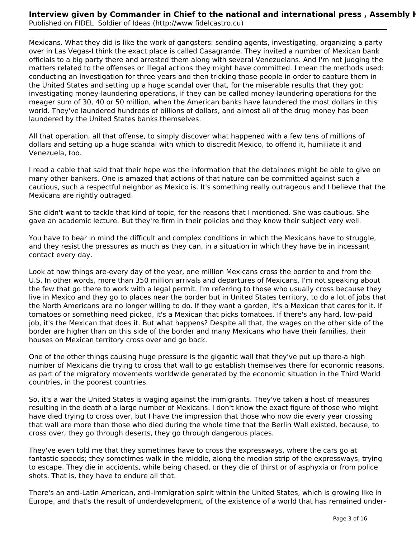Mexicans. What they did is like the work of gangsters: sending agents, investigating, organizing a party over in Las Vegas-I think the exact place is called Casagrande. They invited a number of Mexican bank officials to a big party there and arrested them along with several Venezuelans. And I'm not judging the matters related to the offenses or illegal actions they might have committed. I mean the methods used: conducting an investigation for three years and then tricking those people in order to capture them in the United States and setting up a huge scandal over that, for the miserable results that they got; investigating money-laundering operations, if they can be called money-laundering operations for the meager sum of 30, 40 or 50 million, when the American banks have laundered the most dollars in this world. They've laundered hundreds of billions of dollars, and almost all of the drug money has been laundered by the United States banks themselves.

All that operation, all that offense, to simply discover what happened with a few tens of millions of dollars and setting up a huge scandal with which to discredit Mexico, to offend it, humiliate it and Venezuela, too.

I read a cable that said that their hope was the information that the detainees might be able to give on many other bankers. One is amazed that actions of that nature can be committed against such a cautious, such a respectful neighbor as Mexico is. It's something really outrageous and I believe that the Mexicans are rightly outraged.

She didn't want to tackle that kind of topic, for the reasons that I mentioned. She was cautious. She gave an academic lecture. But they're firm in their policies and they know their subject very well.

You have to bear in mind the difficult and complex conditions in which the Mexicans have to struggle, and they resist the pressures as much as they can, in a situation in which they have be in incessant contact every day.

Look at how things are-every day of the year, one million Mexicans cross the border to and from the U.S. In other words, more than 350 million arrivals and departures of Mexicans. I'm not speaking about the few that go there to work with a legal permit. I'm referring to those who usually cross because they live in Mexico and they go to places near the border but in United States territory, to do a lot of jobs that the North Americans are no longer willing to do. If they want a garden, it's a Mexican that cares for it. If tomatoes or something need picked, it's a Mexican that picks tomatoes. If there's any hard, low-paid job, it's the Mexican that does it. But what happens? Despite all that, the wages on the other side of the border are higher than on this side of the border and many Mexicans who have their families, their houses on Mexican territory cross over and go back.

One of the other things causing huge pressure is the gigantic wall that they've put up there-a high number of Mexicans die trying to cross that wall to go establish themselves there for economic reasons, as part of the migratory movements worldwide generated by the economic situation in the Third World countries, in the poorest countries.

So, it's a war the United States is waging against the immigrants. They've taken a host of measures resulting in the death of a large number of Mexicans. I don't know the exact figure of those who might have died trying to cross over, but I have the impression that those who now die every year crossing that wall are more than those who died during the whole time that the Berlin Wall existed, because, to cross over, they go through deserts, they go through dangerous places.

They've even told me that they sometimes have to cross the expressways, where the cars go at fantastic speeds; they sometimes walk in the middle, along the median strip of the expressways, trying to escape. They die in accidents, while being chased, or they die of thirst or of asphyxia or from police shots. That is, they have to endure all that.

There's an anti-Latin American, anti-immigration spirit within the United States, which is growing like in Europe, and that's the result of underdevelopment, of the existence of a world that has remained under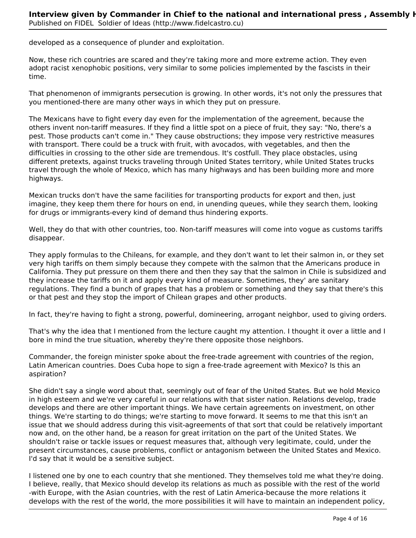developed as a consequence of plunder and exploitation.

Now, these rich countries are scared and they're taking more and more extreme action. They even adopt racist xenophobic positions, very similar to some policies implemented by the fascists in their time.

That phenomenon of immigrants persecution is growing. In other words, it's not only the pressures that you mentioned-there are many other ways in which they put on pressure.

The Mexicans have to fight every day even for the implementation of the agreement, because the others invent non-tariff measures. If they find a little spot on a piece of fruit, they say: "No, there's a pest. Those products can't come in." They cause obstructions; they impose very restrictive measures with transport. There could be a truck with fruit, with avocados, with vegetables, and then the difficulties in crossing to the other side are tremendous. It's costfull. They place obstacles, using different pretexts, against trucks traveling through United States territory, while United States trucks travel through the whole of Mexico, which has many highways and has been building more and more highways.

Mexican trucks don't have the same facilities for transporting products for export and then, just imagine, they keep them there for hours on end, in unending queues, while they search them, looking for drugs or immigrants-every kind of demand thus hindering exports.

Well, they do that with other countries, too. Non-tariff measures will come into vogue as customs tariffs disappear.

They apply formulas to the Chileans, for example, and they don't want to let their salmon in, or they set very high tariffs on them simply because they compete with the salmon that the Americans produce in California. They put pressure on them there and then they say that the salmon in Chile is subsidized and they increase the tariffs on it and apply every kind of measure. Sometimes, they' are sanitary regulations. They find a bunch of grapes that has a problem or something and they say that there's this or that pest and they stop the import of Chilean grapes and other products.

In fact, they're having to fight a strong, powerful, domineering, arrogant neighbor, used to giving orders.

That's why the idea that I mentioned from the lecture caught my attention. I thought it over a little and I bore in mind the true situation, whereby they're there opposite those neighbors.

Commander, the foreign minister spoke about the free-trade agreement with countries of the region, Latin American countries. Does Cuba hope to sign a free-trade agreement with Mexico? Is this an aspiration?

She didn't say a single word about that, seemingly out of fear of the United States. But we hold Mexico in high esteem and we're very careful in our relations with that sister nation. Relations develop, trade develops and there are other important things. We have certain agreements on investment, on other things. We're starting to do things; we're starting to move forward. It seems to me that this isn't an issue that we should address during this visit-agreements of that sort that could be relatively important now and, on the other hand, be a reason for great irritation on the part of the United States. We shouldn't raise or tackle issues or request measures that, although very legitimate, could, under the present circumstances, cause problems, conflict or antagonism between the United States and Mexico. I'd say that it would be a sensitive subject.

I listened one by one to each country that she mentioned. They themselves told me what they're doing. I believe, really, that Mexico should develop its relations as much as possible with the rest of the world -with Europe, with the Asian countries, with the rest of Latin America-because the more relations it develops with the rest of the world, the more possibilities it will have to maintain an independent policy,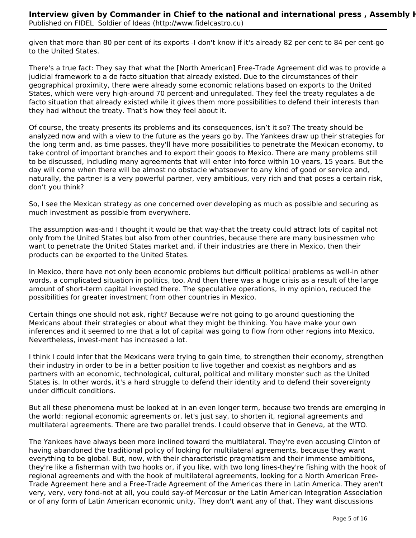given that more than 80 per cent of its exports -I don't know if it's already 82 per cent to 84 per cent-go to the United States.

There's a true fact: They say that what the [North American] Free-Trade Agreement did was to provide a judicial framework to a de facto situation that already existed. Due to the circumstances of their geographical proximity, there were already some economic relations based on exports to the United States, which were very high-around 70 percent-and unregulated. They feel the treaty regulates a de facto situation that already existed while it gives them more possibilities to defend their interests than they had without the treaty. That's how they feel about it.

Of course, the treaty presents its problems and its consequences, isn't it so? The treaty should be analyzed now and with a view to the future as the years go by. The Yankees draw up their strategies for the long term and, as time passes, they'll have more possibilities to penetrate the Mexican economy, to take control of important branches and to export their goods to Mexico. There are many problems still to be discussed, including many agreements that will enter into force within 10 years, 15 years. But the day will come when there will be almost no obstacle whatsoever to any kind of good or service and, naturally, the partner is a very powerful partner, very ambitious, very rich and that poses a certain risk, don't you think?

So, I see the Mexican strategy as one concerned over developing as much as possible and securing as much investment as possible from everywhere.

The assumption was-and I thought it would be that way-that the treaty could attract lots of capital not only from the United States but also from other countries, because there are many businessmen who want to penetrate the United States market and, if their industries are there in Mexico, then their products can be exported to the United States.

In Mexico, there have not only been economic problems but difficult political problems as well-in other words, a complicated situation in politics, too. And then there was a huge crisis as a result of the large amount of short-term capital invested there. The speculative operations, in my opinion, reduced the possibilities for greater investment from other countries in Mexico.

Certain things one should not ask, right? Because we're not going to go around questioning the Mexicans about their strategies or about what they might be thinking. You have make your own inferences and it seemed to me that a lot of capital was going to flow from other regions into Mexico. Nevertheless, invest-ment has increased a lot.

I think I could infer that the Mexicans were trying to gain time, to strengthen their economy, strengthen their industry in order to be in a better position to live together and coexist as neighbors and as partners with an economic, technological, cultural, political and military monster such as the United States is. In other words, it's a hard struggle to defend their identity and to defend their sovereignty under difficult conditions.

But all these phenomena must be looked at in an even longer term, because two trends are emerging in the world: regional economic agreements or, let's just say, to shorten it, regional agreements and multilateral agreements. There are two parallel trends. I could observe that in Geneva, at the WTO.

The Yankees have always been more inclined toward the multilateral. They're even accusing Clinton of having abandoned the traditional policy of looking for multilateral agreements, because they want everything to be global. But, now, with their characteristic pragmatism and their immense ambitions, they're like a fisherman with two hooks or, if you like, with two long lines-they're fishing with the hook of regional agreements and with the hook of multilateral agreements, looking for a North American Free-Trade Agreement here and a Free-Trade Agreement of the Americas there in Latin America. They aren't very, very, very fond-not at all, you could say-of Mercosur or the Latin American Integration Association or of any form of Latin American economic unity. They don't want any of that. They want discussions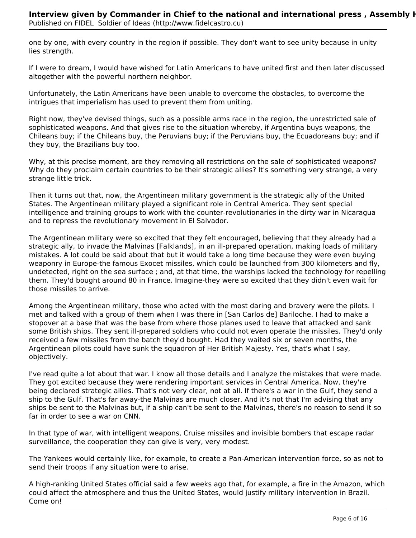one by one, with every country in the region if possible. They don't want to see unity because in unity lies strength.

If I were to dream, I would have wished for Latin Americans to have united first and then later discussed altogether with the powerful northern neighbor.

Unfortunately, the Latin Americans have been unable to overcome the obstacles, to overcome the intrigues that imperialism has used to prevent them from uniting.

Right now, they've devised things, such as a possible arms race in the region, the unrestricted sale of sophisticated weapons. And that gives rise to the situation whereby, if Argentina buys weapons, the Chileans buy; if the Chileans buy, the Peruvians buy; if the Peruvians buy, the Ecuadoreans buy; and if they buy, the Brazilians buy too.

Why, at this precise moment, are they removing all restrictions on the sale of sophisticated weapons? Why do they proclaim certain countries to be their strategic allies? It's something very strange, a very strange little trick.

Then it turns out that, now, the Argentinean military government is the strategic ally of the United States. The Argentinean military played a significant role in Central America. They sent special intelligence and training groups to work with the counter-revolutionaries in the dirty war in Nicaragua and to repress the revolutionary movement in El Salvador.

The Argentinean military were so excited that they felt encouraged, believing that they already had a strategic ally, to invade the Malvinas [Falklands], in an ill-prepared operation, making loads of military mistakes. A lot could be said about that but it would take a long time because they were even buying weaponry in Europe-the famous Exocet missiles, which could be launched from 300 kilometers and fly, undetected, right on the sea surface ; and, at that time, the warships lacked the technology for repelling them. They'd bought around 80 in France. Imagine-they were so excited that they didn't even wait for those missiles to arrive.

Among the Argentinean military, those who acted with the most daring and bravery were the pilots. I met and talked with a group of them when I was there in [San Carlos de] Bariloche. I had to make a stopover at a base that was the base from where those planes used to leave that attacked and sank some British ships. They sent ill-prepared soldiers who could not even operate the missiles. They'd only received a few missiles from the batch they'd bought. Had they waited six or seven months, the Argentinean pilots could have sunk the squadron of Her British Majesty. Yes, that's what I say, objectively.

I've read quite a lot about that war. I know all those details and I analyze the mistakes that were made. They got excited because they were rendering important services in Central America. Now, they're being declared strategic allies. That's not very clear, not at all. If there's a war in the Gulf, they send a ship to the Gulf. That's far away-the Malvinas are much closer. And it's not that I'm advising that any ships be sent to the Malvinas but, if a ship can't be sent to the Malvinas, there's no reason to send it so far in order to see a war on CNN.

In that type of war, with intelligent weapons, Cruise missiles and invisible bombers that escape radar surveillance, the cooperation they can give is very, very modest.

The Yankees would certainly like, for example, to create a Pan-American intervention force, so as not to send their troops if any situation were to arise.

A high-ranking United States official said a few weeks ago that, for example, a fire in the Amazon, which could affect the atmosphere and thus the United States, would justify military intervention in Brazil. Come on!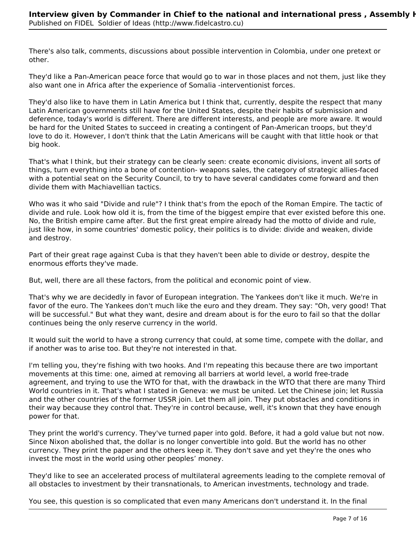There's also talk, comments, discussions about possible intervention in Colombia, under one pretext or other.

They'd like a Pan-American peace force that would go to war in those places and not them, just like they also want one in Africa after the experience of Somalia -interventionist forces.

They'd also like to have them in Latin America but I think that, currently, despite the respect that many Latin American governments still have for the United States, despite their habits of submission and deference, today's world is different. There are different interests, and people are more aware. It would be hard for the United States to succeed in creating a contingent of Pan-American troops, but they'd love to do it. However, I don't think that the Latin Americans will be caught with that little hook or that big hook.

That's what I think, but their strategy can be clearly seen: create economic divisions, invent all sorts of things, turn everything into a bone of contention- weapons sales, the category of strategic allies-faced with a potential seat on the Security Council, to try to have several candidates come forward and then divide them with Machiavellian tactics.

Who was it who said "Divide and rule"? I think that's from the epoch of the Roman Empire. The tactic of divide and rule. Look how old it is, from the time of the biggest empire that ever existed before this one. No, the British empire came after. But the first great empire already had the motto of divide and rule, just like how, in some countries' domestic policy, their politics is to divide: divide and weaken, divide and destroy.

Part of their great rage against Cuba is that they haven't been able to divide or destroy, despite the enormous efforts they've made.

But, well, there are all these factors, from the political and economic point of view.

That's why we are decidedly in favor of European integration. The Yankees don't like it much. We're in favor of the euro. The Yankees don't much like the euro and they dream. They say: "Oh, very good! That will be successful." But what they want, desire and dream about is for the euro to fail so that the dollar continues being the only reserve currency in the world.

It would suit the world to have a strong currency that could, at some time, compete with the dollar, and if another was to arise too. But they're not interested in that.

I'm telling you, they're fishing with two hooks. And I'm repeating this because there are two important movements at this time: one, aimed at removing all barriers at world level, a world free-trade agreement, and trying to use the WTO for that, with the drawback in the WTO that there are many Third World countries in it. That's what I stated in Geneva: we must be united. Let the Chinese join; let Russia and the other countries of the former USSR join. Let them all join. They put obstacles and conditions in their way because they control that. They're in control because, well, it's known that they have enough power for that.

They print the world's currency. They've turned paper into gold. Before, it had a gold value but not now. Since Nixon abolished that, the dollar is no longer convertible into gold. But the world has no other currency. They print the paper and the others keep it. They don't save and yet they're the ones who invest the most in the world using other peoples' money.

They'd like to see an accelerated process of multilateral agreements leading to the complete removal of all obstacles to investment by their transnationals, to American investments, technology and trade.

You see, this question is so complicated that even many Americans don't understand it. In the final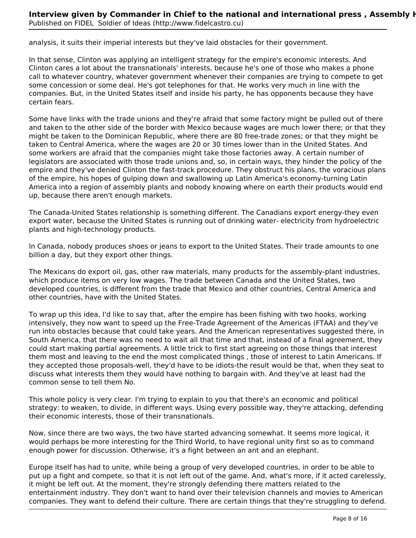analysis, it suits their imperial interests but they've laid obstacles for their government.

In that sense, Clinton was applying an intelligent strategy for the empire's economic interests. And Clinton cares a lot about the transnationals' interests, because he's one of those who makes a phone call to whatever country, whatever government whenever their companies are trying to compete to get some concession or some deal. He's got telephones for that. He works very much in line with the companies. But, in the United States itself and inside his party, he has opponents because they have certain fears.

Some have links with the trade unions and they're afraid that some factory might be pulled out of there and taken to the other side of the border with Mexico because wages are much lower there; or that they might be taken to the Dominican Republic, where there are 80 free-trade zones; or that they might be taken to Central America, where the wages are 20 or 30 times lower than in the United States. And some workers are afraid that the companies might take those factories away. A certain number of legislators are associated with those trade unions and, so, in certain ways, they hinder the policy of the empire and they've denied Clinton the fast-track procedure. They obstruct his plans, the voracious plans of the empire, his hopes of gulping down and swallowing up Latin America's economy-turning Latin America into a region of assembly plants and nobody knowing where on earth their products would end up, because there aren't enough markets.

The Canada-United States relationship is something different. The Canadians export energy-they even export water, because the United States is running out of drinking water- electricity from hydroelectric plants and high-technology products.

In Canada, nobody produces shoes or jeans to export to the United States. Their trade amounts to one billion a day, but they export other things.

The Mexicans do export oil, gas, other raw materials, many products for the assembly-plant industries, which produce items on very low wages. The trade between Canada and the United States, two developed countries, is different from the trade that Mexico and other countries, Central America and other countries, have with the United States.

To wrap up this idea, I'd like to say that, after the empire has been fishing with two hooks, working intensively, they now want to speed up the Free-Trade Agreement of the Americas (FTAA) and they've run into obstacles because that could take years. And the American representatives suggested there, in South America, that there was no need to wait all that time and that, instead of a final agreement, they could start making partial agreements. A little trick to first start agreeing on those things that interest them most and leaving to the end the most complicated things , those of interest to Latin Americans. If they accepted those proposals-well, they'd have to be idiots-the result would be that, when they seat to discuss what interests them they would have nothing to bargain with. And they've at least had the common sense to tell them No.

This whole policy is very clear. I'm trying to explain to you that there's an economic and political strategy: to weaken, to divide, in different ways. Using every possible way, they're attacking, defending their economic interests, those of their transnationals.

Now, since there are two ways, the two have started advancing somewhat. It seems more logical, it would perhaps be more interesting for the Third World, to have regional unity first so as to command enough power for discussion. Otherwise, it's a fight between an ant and an elephant.

Europe itself has had to unite, while being a group of very developed countries, in order to be able to put up a fight and compete, so that it is not left out of the game. And, what's more, if it acted carelessly, it might be left out. At the moment, they're strongly defending there matters related to the entertainment industry. They don't want to hand over their television channels and movies to American companies. They want to defend their culture. There are certain things that they're struggling to defend.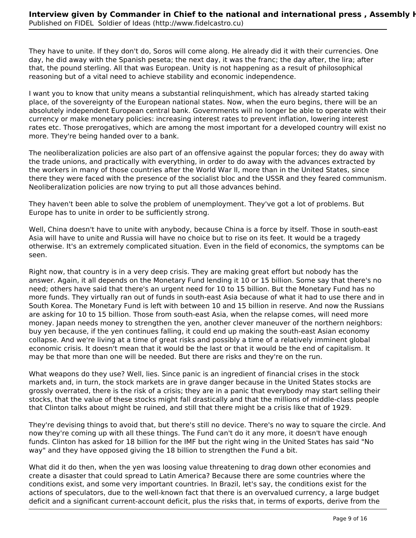They have to unite. If they don't do, Soros will come along. He already did it with their currencies. One day, he did away with the Spanish peseta; the next day, it was the franc; the day after, the lira; after that, the pound sterling. All that was European. Unity is not happening as a result of philosophical reasoning but of a vital need to achieve stability and economic independence.

I want you to know that unity means a substantial relinquishment, which has already started taking place, of the sovereignty of the European national states. Now, when the euro begins, there will be an absolutely independent European central bank. Governments will no longer be able to operate with their currency or make monetary policies: increasing interest rates to prevent inflation, lowering interest rates etc. Those prerogatives, which are among the most important for a developed country will exist no more. They're being handed over to a bank.

The neoliberalization policies are also part of an offensive against the popular forces; they do away with the trade unions, and practically with everything, in order to do away with the advances extracted by the workers in many of those countries after the World War II, more than in the United States, since there they were faced with the presence of the socialist bloc and the USSR and they feared communism. Neoliberalization policies are now trying to put all those advances behind.

They haven't been able to solve the problem of unemployment. They've got a lot of problems. But Europe has to unite in order to be sufficiently strong.

Well, China doesn't have to unite with anybody, because China is a force by itself. Those in south-east Asia will have to unite and Russia will have no choice but to rise on its feet. It would be a tragedy otherwise. It's an extremely complicated situation. Even in the field of economics, the symptoms can be seen.

Right now, that country is in a very deep crisis. They are making great effort but nobody has the answer. Again, it all depends on the Monetary Fund lending it 10 or 15 billion. Some say that there's no need; others have said that there's an urgent need for 10 to 15 billion. But the Monetary Fund has no more funds. They virtually ran out of funds in south-east Asia because of what it had to use there and in South Korea. The Monetary Fund is left with between 10 and 15 billion in reserve. And now the Russians are asking for 10 to 15 billion. Those from south-east Asia, when the relapse comes, will need more money. Japan needs money to strengthen the yen, another clever maneuver of the northern neighbors: buy yen because, if the yen continues falling, it could end up making the south-east Asian economy collapse. And we're living at a time of great risks and possibly a time of a relatively imminent global economic crisis. It doesn't mean that it would be the last or that it would be the end of capitalism. It may be that more than one will be needed. But there are risks and they're on the run.

What weapons do they use? Well, lies. Since panic is an ingredient of financial crises in the stock markets and, in turn, the stock markets are in grave danger because in the United States stocks are grossly overrated, there is the risk of a crisis; they are in a panic that everybody may start selling their stocks, that the value of these stocks might fall drastically and that the millions of middle-class people that Clinton talks about might be ruined, and still that there might be a crisis like that of 1929.

They're devising things to avoid that, but there's still no device. There's no way to square the circle. And now they're coming up with all these things. The Fund can't do it any more, it doesn't have enough funds. Clinton has asked for 18 billion for the IMF but the right wing in the United States has said "No way" and they have opposed giving the 18 billion to strengthen the Fund a bit.

What did it do then, when the yen was loosing value threatening to drag down other economies and create a disaster that could spread to Latin America? Because there are some countries where the conditions exist, and some very important countries. In Brazil, let's say, the conditions exist for the actions of speculators, due to the well-known fact that there is an overvalued currency, a large budget deficit and a significant current-account deficit, plus the risks that, in terms of exports, derive from the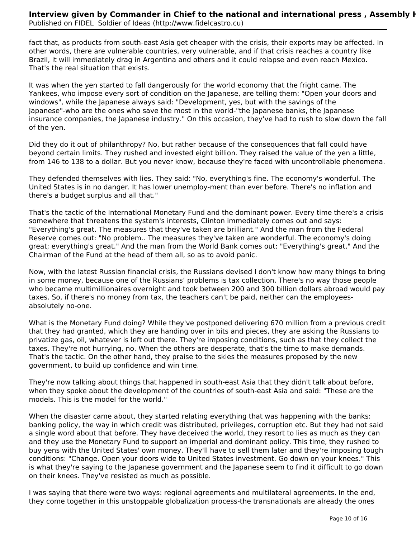fact that, as products from south-east Asia get cheaper with the crisis, their exports may be affected. In other words, there are vulnerable countries, very vulnerable, and if that crisis reaches a country like Brazil, it will immediately drag in Argentina and others and it could relapse and even reach Mexico. That's the real situation that exists.

It was when the yen started to fall dangerously for the world economy that the fright came. The Yankees, who impose every sort of condition on the Japanese, are telling them: "Open your doors and windows", while the Japanese always said: "Development, yes, but with the savings of the Japanese"-who are the ones who save the most in the world-"the Japanese banks, the Japanese insurance companies, the Japanese industry." On this occasion, they've had to rush to slow down the fall of the yen.

Did they do it out of philanthropy? No, but rather because of the consequences that fall could have beyond certain limits. They rushed and invested eight billion. They raised the value of the yen a little, from 146 to 138 to a dollar. But you never know, because they're faced with uncontrollable phenomena.

They defended themselves with lies. They said: "No, everything's fine. The economy's wonderful. The United States is in no danger. It has lower unemploy-ment than ever before. There's no inflation and there's a budget surplus and all that."

That's the tactic of the International Monetary Fund and the dominant power. Every time there's a crisis somewhere that threatens the system's interests, Clinton immediately comes out and says: "Everything's great. The measures that they've taken are brilliant." And the man from the Federal Reserve comes out: "No problem.. The measures they've taken are wonderful. The economy's doing great; everything's great." And the man from the World Bank comes out: "Everything's great." And the Chairman of the Fund at the head of them all, so as to avoid panic.

Now, with the latest Russian financial crisis, the Russians devised I don't know how many things to bring in some money, because one of the Russians' problems is tax collection. There's no way those people who became multimillionaires overnight and took between 200 and 300 billion dollars abroad would pay taxes. So, if there's no money from tax, the teachers can't be paid, neither can the employeesabsolutely no-one.

What is the Monetary Fund doing? While they've postponed delivering 670 million from a previous credit that they had granted, which they are handing over in bits and pieces, they are asking the Russians to privatize gas, oil, whatever is left out there. They're imposing conditions, such as that they collect the taxes. They're not hurrying, no. When the others are desperate, that's the time to make demands. That's the tactic. On the other hand, they praise to the skies the measures proposed by the new government, to build up confidence and win time.

They're now talking about things that happened in south-east Asia that they didn't talk about before, when they spoke about the development of the countries of south-east Asia and said: "These are the models. This is the model for the world."

When the disaster came about, they started relating everything that was happening with the banks: banking policy, the way in which credit was distributed, privileges, corruption etc. But they had not said a single word about that before. They have deceived the world, they resort to lies as much as they can and they use the Monetary Fund to support an imperial and dominant policy. This time, they rushed to buy yens with the United States' own money. They'll have to sell them later and they're imposing tough conditions: "Change. Open your doors wide to United States investment. Go down on your knees." This is what they're saying to the Japanese government and the Japanese seem to find it difficult to go down on their knees. They've resisted as much as possible.

I was saying that there were two ways: regional agreements and multilateral agreements. In the end, they come together in this unstoppable globalization process-the transnationals are already the ones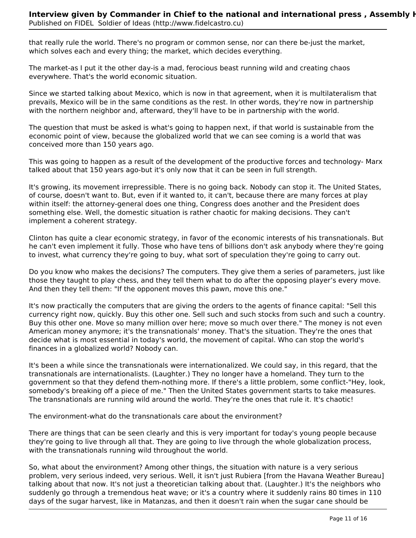that really rule the world. There's no program or common sense, nor can there be-just the market, which solves each and every thing; the market, which decides everything.

The market-as I put it the other day-is a mad, ferocious beast running wild and creating chaos everywhere. That's the world economic situation.

Since we started talking about Mexico, which is now in that agreement, when it is multilateralism that prevails, Mexico will be in the same conditions as the rest. In other words, they're now in partnership with the northern neighbor and, afterward, they'll have to be in partnership with the world.

The question that must be asked is what's going to happen next, if that world is sustainable from the economic point of view, because the globalized world that we can see coming is a world that was conceived more than 150 years ago.

This was going to happen as a result of the development of the productive forces and technology- Marx talked about that 150 years ago-but it's only now that it can be seen in full strength.

It's growing, its movement irrepressible. There is no going back. Nobody can stop it. The United States, of course, doesn't want to. But, even if it wanted to, it can't, because there are many forces at play within itself: the attorney-general does one thing, Congress does another and the President does something else. Well, the domestic situation is rather chaotic for making decisions. They can't implement a coherent strategy.

Clinton has quite a clear economic strategy, in favor of the economic interests of his transnationals. But he can't even implement it fully. Those who have tens of billions don't ask anybody where they're going to invest, what currency they're going to buy, what sort of speculation they're going to carry out.

Do you know who makes the decisions? The computers. They give them a series of parameters, just like those they taught to play chess, and they tell them what to do after the opposing player's every move. And then they tell them: "If the opponent moves this pawn, move this one."

It's now practically the computers that are giving the orders to the agents of finance capital: "Sell this currency right now, quickly. Buy this other one. Sell such and such stocks from such and such a country. Buy this other one. Move so many million over here; move so much over there." The money is not even American money anymore; it's the transnationals' money. That's the situation. They're the ones that decide what is most essential in today's world, the movement of capital. Who can stop the world's finances in a globalized world? Nobody can.

It's been a while since the transnationals were internationalized. We could say, in this regard, that the transnationals are internationalists. (Laughter.) They no longer have a homeland. They turn to the government so that they defend them-nothing more. If there's a little problem, some conflict-"Hey, look, somebody's breaking off a piece of me." Then the United States government starts to take measures. The transnationals are running wild around the world. They're the ones that rule it. It's chaotic!

The environment-what do the transnationals care about the environment?

There are things that can be seen clearly and this is very important for today's young people because they're going to live through all that. They are going to live through the whole globalization process, with the transnationals running wild throughout the world.

So, what about the environment? Among other things, the situation with nature is a very serious problem, very serious indeed, very serious. Well, it isn't just Rubiera [from the Havana Weather Bureau] talking about that now. It's not just a theoretician talking about that. (Laughter.) It's the neighbors who suddenly go through a tremendous heat wave; or it's a country where it suddenly rains 80 times in 110 days of the sugar harvest, like in Matanzas, and then it doesn't rain when the sugar cane should be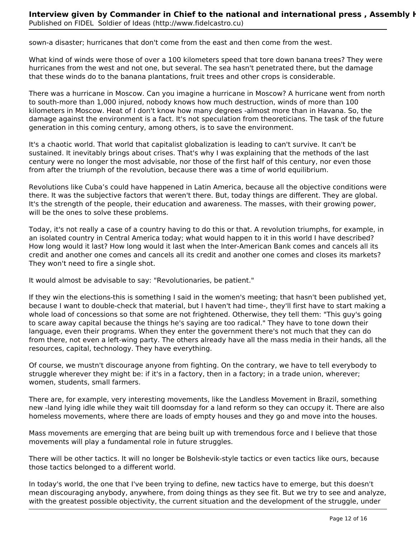sown-a disaster; hurricanes that don't come from the east and then come from the west.

What kind of winds were those of over a 100 kilometers speed that tore down banana trees? They were hurricanes from the west and not one, but several. The sea hasn't penetrated there, but the damage that these winds do to the banana plantations, fruit trees and other crops is considerable.

There was a hurricane in Moscow. Can you imagine a hurricane in Moscow? A hurricane went from north to south-more than 1,000 injured, nobody knows how much destruction, winds of more than 100 kilometers in Moscow. Heat of I don't know how many degrees -almost more than in Havana. So, the damage against the environment is a fact. It's not speculation from theoreticians. The task of the future generation in this coming century, among others, is to save the environment.

It's a chaotic world. That world that capitalist globalization is leading to can't survive. It can't be sustained. It inevitably brings about crises. That's why I was explaining that the methods of the last century were no longer the most advisable, nor those of the first half of this century, nor even those from after the triumph of the revolution, because there was a time of world equilibrium.

Revolutions like Cuba's could have happened in Latin America, because all the objective conditions were there. It was the subjective factors that weren't there. But, today things are different. They are global. It's the strength of the people, their education and awareness. The masses, with their growing power, will be the ones to solve these problems.

Today, it's not really a case of a country having to do this or that. A revolution triumphs, for example, in an isolated country in Central America today; what would happen to it in this world I have described? How long would it last? How long would it last when the Inter-American Bank comes and cancels all its credit and another one comes and cancels all its credit and another one comes and closes its markets? They won't need to fire a single shot.

It would almost be advisable to say: "Revolutionaries, be patient."

If they win the elections-this is something I said in the women's meeting; that hasn't been published yet, because I want to double-check that material, but I haven't had time-, they'll first have to start making a whole load of concessions so that some are not frightened. Otherwise, they tell them: "This guy's going to scare away capital because the things he's saying are too radical." They have to tone down their language, even their programs. When they enter the government there's not much that they can do from there, not even a left-wing party. The others already have all the mass media in their hands, all the resources, capital, technology. They have everything.

Of course, we mustn't discourage anyone from fighting. On the contrary, we have to tell everybody to struggle wherever they might be: if it's in a factory, then in a factory; in a trade union, wherever; women, students, small farmers.

There are, for example, very interesting movements, like the Landless Movement in Brazil, something new -land lying idle while they wait till doomsday for a land reform so they can occupy it. There are also homeless movements, where there are loads of empty houses and they go and move into the houses.

Mass movements are emerging that are being built up with tremendous force and I believe that those movements will play a fundamental role in future struggles.

There will be other tactics. It will no longer be Bolshevik-style tactics or even tactics like ours, because those tactics belonged to a different world.

In today's world, the one that I've been trying to define, new tactics have to emerge, but this doesn't mean discouraging anybody, anywhere, from doing things as they see fit. But we try to see and analyze, with the greatest possible objectivity, the current situation and the development of the struggle, under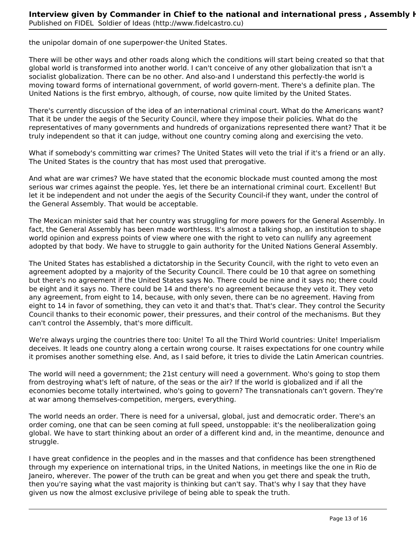the unipolar domain of one superpower-the United States.

There will be other ways and other roads along which the conditions will start being created so that that global world is transformed into another world. I can't conceive of any other globalization that isn't a socialist globalization. There can be no other. And also-and I understand this perfectly-the world is moving toward forms of international government, of world govern-ment. There's a definite plan. The United Nations is the first embryo, although, of course, now quite limited by the United States.

There's currently discussion of the idea of an international criminal court. What do the Americans want? That it be under the aegis of the Security Council, where they impose their policies. What do the representatives of many governments and hundreds of organizations represented there want? That it be truly independent so that it can judge, without one country coming along and exercising the veto.

What if somebody's committing war crimes? The United States will veto the trial if it's a friend or an ally. The United States is the country that has most used that prerogative.

And what are war crimes? We have stated that the economic blockade must counted among the most serious war crimes against the people. Yes, let there be an international criminal court. Excellent! But let it be independent and not under the aegis of the Security Council-if they want, under the control of the General Assembly. That would be acceptable.

The Mexican minister said that her country was struggling for more powers for the General Assembly. In fact, the General Assembly has been made worthless. It's almost a talking shop, an institution to shape world opinion and express points of view where one with the right to veto can nullify any agreement adopted by that body. We have to struggle to gain authority for the United Nations General Assembly.

The United States has established a dictatorship in the Security Council, with the right to veto even an agreement adopted by a majority of the Security Council. There could be 10 that agree on something but there's no agreement if the United States says No. There could be nine and it says no; there could be eight and it says no. There could be 14 and there's no agreement because they veto it. They veto any agreement, from eight to 14, because, with only seven, there can be no agreement. Having from eight to 14 in favor of something, they can veto it and that's that. That's clear. They control the Security Council thanks to their economic power, their pressures, and their control of the mechanisms. But they can't control the Assembly, that's more difficult.

We're always urging the countries there too: Unite! To all the Third World countries: Unite! Imperialism deceives. It leads one country along a certain wrong course. It raises expectations for one country while it promises another something else. And, as I said before, it tries to divide the Latin American countries.

The world will need a government; the 21st century will need a government. Who's going to stop them from destroying what's left of nature, of the seas or the air? If the world is globalized and if all the economies become totally intertwined, who's going to govern? The transnationals can't govern. They're at war among themselves-competition, mergers, everything.

The world needs an order. There is need for a universal, global, just and democratic order. There's an order coming, one that can be seen coming at full speed, unstoppable: it's the neoliberalization going global. We have to start thinking about an order of a different kind and, in the meantime, denounce and struggle.

I have great confidence in the peoples and in the masses and that confidence has been strengthened through my experience on international trips, in the United Nations, in meetings like the one in Rio de Janeiro, wherever. The power of the truth can be great and when you get there and speak the truth, then you're saying what the vast majority is thinking but can't say. That's why I say that they have given us now the almost exclusive privilege of being able to speak the truth.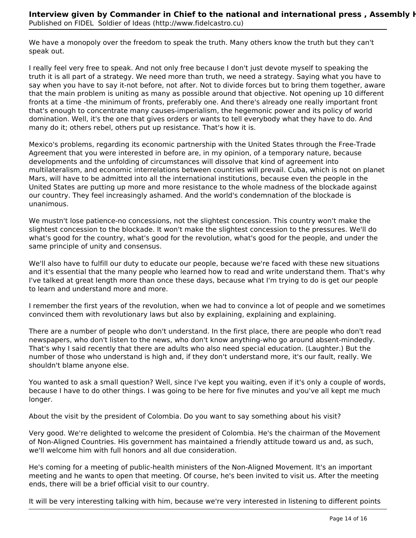We have a monopoly over the freedom to speak the truth. Many others know the truth but they can't speak out.

I really feel very free to speak. And not only free because I don't just devote myself to speaking the truth it is all part of a strategy. We need more than truth, we need a strategy. Saying what you have to say when you have to say it-not before, not after. Not to divide forces but to bring them together, aware that the main problem is uniting as many as possible around that objective. Not opening up 10 different fronts at a time -the minimum of fronts, preferably one. And there's already one really important front that's enough to concentrate many causes-imperialism, the hegemonic power and its policy of world domination. Well, it's the one that gives orders or wants to tell everybody what they have to do. And many do it; others rebel, others put up resistance. That's how it is.

Mexico's problems, regarding its economic partnership with the United States through the Free-Trade Agreement that you were interested in before are, in my opinion, of a temporary nature, because developments and the unfolding of circumstances will dissolve that kind of agreement into multilateralism, and economic interrelations between countries will prevail. Cuba, which is not on planet Mars, will have to be admitted into all the international institutions, because even the people in the United States are putting up more and more resistance to the whole madness of the blockade against our country. They feel increasingly ashamed. And the world's condemnation of the blockade is unanimous.

We mustn't lose patience-no concessions, not the slightest concession. This country won't make the slightest concession to the blockade. It won't make the slightest concession to the pressures. We'll do what's good for the country, what's good for the revolution, what's good for the people, and under the same principle of unity and consensus.

We'll also have to fulfill our duty to educate our people, because we're faced with these new situations and it's essential that the many people who learned how to read and write understand them. That's why I've talked at great length more than once these days, because what I'm trying to do is get our people to learn and understand more and more.

I remember the first years of the revolution, when we had to convince a lot of people and we sometimes convinced them with revolutionary laws but also by explaining, explaining and explaining.

There are a number of people who don't understand. In the first place, there are people who don't read newspapers, who don't listen to the news, who don't know anything-who go around absent-mindedly. That's why I said recently that there are adults who also need special education. (Laughter.) But the number of those who understand is high and, if they don't understand more, it's our fault, really. We shouldn't blame anyone else.

You wanted to ask a small question? Well, since I've kept you waiting, even if it's only a couple of words, because I have to do other things. I was going to be here for five minutes and you've all kept me much longer.

About the visit by the president of Colombia. Do you want to say something about his visit?

Very good. We're delighted to welcome the president of Colombia. He's the chairman of the Movement of Non-Aligned Countries. His government has maintained a friendly attitude toward us and, as such, we'll welcome him with full honors and all due consideration.

He's coming for a meeting of public-health ministers of the Non-Aligned Movement. It's an important meeting and he wants to open that meeting. Of course, he's been invited to visit us. After the meeting ends, there will be a brief official visit to our country.

It will be very interesting talking with him, because we're very interested in listening to different points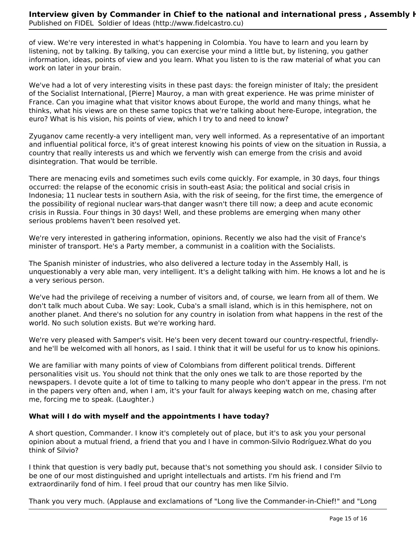of view. We're very interested in what's happening in Colombia. You have to learn and you learn by listening, not by talking. By talking, you can exercise your mind a little but, by listening, you gather information, ideas, points of view and you learn. What you listen to is the raw material of what you can work on later in your brain.

We've had a lot of very interesting visits in these past days: the foreign minister of Italy; the president of the Socialist International, [Pierre] Mauroy, a man with great experience. He was prime minister of France. Can you imagine what that visitor knows about Europe, the world and many things, what he thinks, what his views are on these same topics that we're talking about here-Europe, integration, the euro? What is his vision, his points of view, which I try to and need to know?

Zyuganov came recently-a very intelligent man, very well informed. As a representative of an important and influential political force, it's of great interest knowing his points of view on the situation in Russia, a country that really interests us and which we fervently wish can emerge from the crisis and avoid disintegration. That would be terrible.

There are menacing evils and sometimes such evils come quickly. For example, in 30 days, four things occurred: the relapse of the economic crisis in south-east Asia; the political and social crisis in Indonesia; 11 nuclear tests in southern Asia, with the risk of seeing, for the first time, the emergence of the possibility of regional nuclear wars-that danger wasn't there till now; a deep and acute economic crisis in Russia. Four things in 30 days! Well, and these problems are emerging when many other serious problems haven't been resolved yet.

We're very interested in gathering information, opinions. Recently we also had the visit of France's minister of transport. He's a Party member, a communist in a coalition with the Socialists.

The Spanish minister of industries, who also delivered a lecture today in the Assembly Hall, is unquestionably a very able man, very intelligent. It's a delight talking with him. He knows a lot and he is a very serious person.

We've had the privilege of receiving a number of visitors and, of course, we learn from all of them. We don't talk much about Cuba. We say: Look, Cuba's a small island, which is in this hemisphere, not on another planet. And there's no solution for any country in isolation from what happens in the rest of the world. No such solution exists. But we're working hard.

We're very pleased with Samper's visit. He's been very decent toward our country-respectful, friendlyand he'll be welcomed with all honors, as I said. I think that it will be useful for us to know his opinions.

We are familiar with many points of view of Colombians from different political trends. Different personalities visit us. You should not think that the only ones we talk to are those reported by the newspapers. I devote quite a lot of time to talking to many people who don't appear in the press. I'm not in the papers very often and, when I am, it's your fault for always keeping watch on me, chasing after me, forcing me to speak. (Laughter.)

#### **What will I do with myself and the appointments I have today?**

A short question, Commander. I know it's completely out of place, but it's to ask you your personal opinion about a mutual friend, a friend that you and I have in common-Silvio Rodríguez.What do you think of Silvio?

I think that question is very badly put, because that's not something you should ask. I consider Silvio to be one of our most distinguished and upright intellectuals and artists. I'm his friend and I'm extraordinarily fond of him. I feel proud that our country has men like Silvio.

Thank you very much. (Applause and exclamations of "Long live the Commander-in-Chief!" and "Long